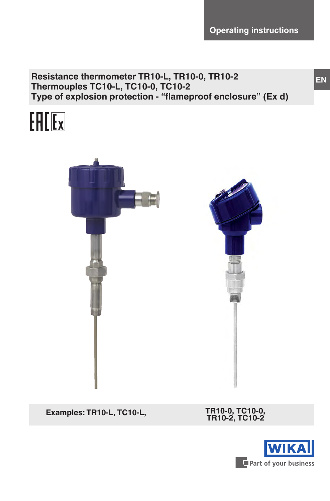**Operating instructions**

**Resistance thermometer TR10-L, TR10-0, TR10-2 Thermouples TС10-L, TС10-0, TС10-2 Type of explosion protection - "flameproof enclosure" (Ex d)**





 $Examples: TR10-L, TC10-L,$ 

**TR10-2, TC10-2**

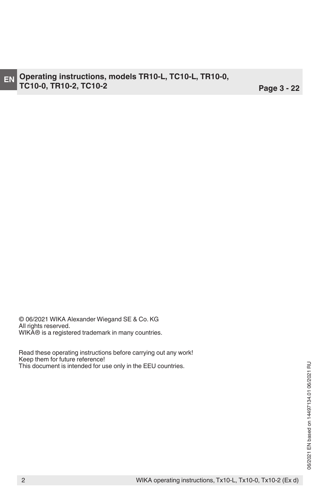© 06/2021 WIKA Alexander Wiegand SE & Co. KG All rights reserved. WIKA® is a registered trademark in many countries.

Read these operating instructions before carrying out any work! Keep them for future reference! This document is intended for use only in the EEU countries.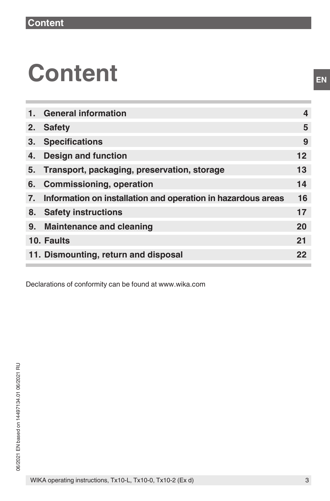# **Content**

| 1. | <b>General information</b>                                   | 4  |
|----|--------------------------------------------------------------|----|
| 2. | <b>Safety</b>                                                | 5  |
| 3. | <b>Specifications</b>                                        | 9  |
| 4. | <b>Design and function</b>                                   | 12 |
| 5. | Transport, packaging, preservation, storage                  | 13 |
| 6. | <b>Commissioning, operation</b>                              | 14 |
| 7. | Information on installation and operation in hazardous areas | 16 |
| 8. | <b>Safety instructions</b>                                   | 17 |
| 9. | <b>Maintenance and cleaning</b>                              | 20 |
|    | 10. Faults                                                   | 21 |
|    | 11. Dismounting, return and disposal                         | 22 |
|    |                                                              |    |

Declarations of conformity can be found at www.wika.com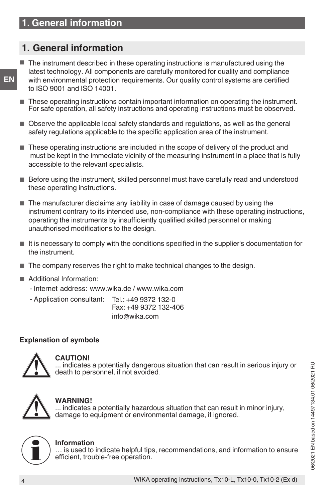# **1. General information**

**EN**

- The instrument described in these operating instructions is manufactured using the latest technology. All components are carefully monitored for quality and compliance with environmental protection requirements. Our quality control systems are certified to ISO 9001 and ISO 14001.
- These operating instructions contain important information on operating the instrument. For safe operation, all safety instructions and operating instructions must be observed.
- Observe the applicable local safety standards and regulations, as well as the general safety regulations applicable to the specific application area of the instrument.
- These operating instructions are included in the scope of delivery of the product and must be kept in the immediate vicinity of the measuring instrument in a place that is fully accessible to the relevant specialists.
- Before using the instrument, skilled personnel must have carefully read and understood these operating instructions.
- The manufacturer disclaims any liability in case of damage caused by using the instrument contrary to its intended use, non-compliance with these operating instructions, operating the instruments by insufficiently qualified skilled personnel or making unauthorised modifications to the design.
- It is necessary to comply with the conditions specified in the supplier's documentation for the instrument.
- The company reserves the right to make technical changes to the design.
- Additional Information:
	- Internet address: www.wika.de / www.wika.com
	- Application consultant: Tel.: +49 9372 132-0 Fax: +49 9372 132-406 info@wika.com

# **Explanation of symbols**



#### **CAUTION!**

... indicates a potentially dangerous situation that can result in serious injury or death to personnel, if not avoided.



#### **WARNING!**

... indicates a potentially hazardous situation that can result in minor injury, damage to equipment or environmental damage, if ignored..



#### **Information**

… is used to indicate helpful tips, recommendations, and information to ensure efficient, trouble-free operation.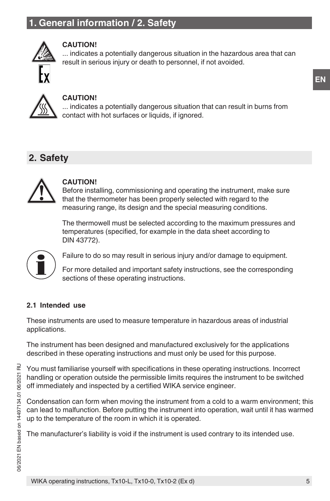# **1. General information / 2. Safety**



# **CAUTION!**

... indicates a potentially dangerous situation in the hazardous area that can result in serious injury or death to personnel, if not avoided.



#### **CAUTION!**

... indicates a potentially dangerous situation that can result in burns from contact with hot surfaces or liquids, if ignored.

# **2. Safety**



## **CAUTION!**

Before installing, commissioning and operating the instrument, make sure that the thermometer has been properly selected with regard to the measuring range, its design and the special measuring conditions.

The thermowell must be selected according to the maximum pressures and temperatures (specified, for example in the data sheet according to DIN 43772).



Failure to do so may result in serious injury and/or damage to equipment.

For more detailed and important safety instructions, see the corresponding sections of these operating instructions.

# **2.1 Intended use**

These instruments are used to measure temperature in hazardous areas of industrial applications.

The instrument has been designed and manufactured exclusively for the applications described in these operating instructions and must only be used for this purpose.

You must familiarise yourself with specifications in these operating instructions. Incorrect handling or operation outside the permissible limits requires the instrument to be switched off immediately and inspected by a certified WIKA service engineer.

Condensation can form when moving the instrument from a cold to a warm environment; this can lead to malfunction. Before putting the instrument into operation, wait until it has warmed up to the temperature of the room in which it is operated.

The manufacturer's liability is void if the instrument is used contrary to its intended use.

**EN**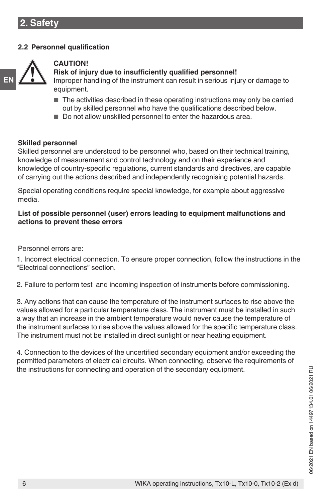# **2.2 Personnel qualification**



## **CAUTION!**

#### **Risk of injury due to insufficiently qualified personnel!**

Improper handling of the instrument can result in serious injury or damage to equipment.

- The activities described in these operating instructions may only be carried out by skilled personnel who have the qualifications described below.
- Do not allow unskilled personnel to enter the hazardous area.

#### **Skilled personnel**

Skilled personnel are understood to be personnel who, based on their technical training, knowledge of measurement and control technology and on their experience and knowledge of country-specific regulations, current standards and directives, are capable of carrying out the actions described and independently recognising potential hazards.

Special operating conditions require special knowledge, for example about aggressive media.

#### **List of possible personnel (user) errors leading to equipment malfunctions and actions to prevent these errors**

Personnel errors are:

1. Incorrect electrical connection. To ensure proper connection, follow the instructions in the "Electrical connections" section.

2. Failure to perform test and incoming inspection of instruments before commissioning.

3. Any actions that can cause the temperature of the instrument surfaces to rise above the values allowed for a particular temperature class. The instrument must be installed in such a way that an increase in the ambient temperature would never cause the temperature of the instrument surfaces to rise above the values allowed for the specific temperature class. The instrument must not be installed in direct sunlight or near heating equipment.

4. Connection to the devices of the uncertified secondary equipment and/or exceeding the permitted parameters of electrical circuits. When connecting, observe the requirements of the instructions for connecting and operation of the secondary equipment.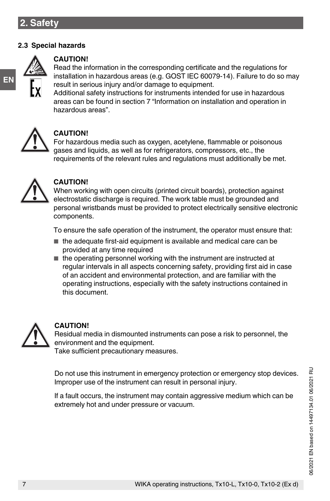## **2.3 Special hazards**



**EN**

#### **CAUTION!**

Read the information in the corresponding certificate and the regulations for installation in hazardous areas (e.g. GOST IEC 60079-14). Failure to do so may result in serious injury and/or damage to equipment.

Additional safety instructions for instruments intended for use in hazardous areas can be found in section 7 "Information on installation and operation in hazardous areas".



## **CAUTION!**

For hazardous media such as oxygen, acetylene, flammable or poisonous gases and liquids, as well as for refrigerators, compressors, etc., the requirements of the relevant rules and regulations must additionally be met.



#### **CAUTION!**

When working with open circuits (printed circuit boards), protection against electrostatic discharge is required. The work table must be grounded and personal wristbands must be provided to protect electrically sensitive electronic components.

To ensure the safe operation of the instrument, the operator must ensure that:

- the adequate first-aid equipment is available and medical care can be provided at any time required
- the operating personnel working with the instrument are instructed at regular intervals in all aspects concerning safety, providing first aid in case of an accident and environmental protection, and are familiar with the operating instructions, especially with the safety instructions contained in this document.



#### **CAUTION!**

Residual media in dismounted instruments can pose a risk to personnel, the environment and the equipment.

Take sufficient precautionary measures.

Do not use this instrument in emergency protection or emergency stop devices. Improper use of the instrument can result in personal injury.

If a fault occurs, the instrument may contain aggressive medium which can be extremely hot and under pressure or vacuum.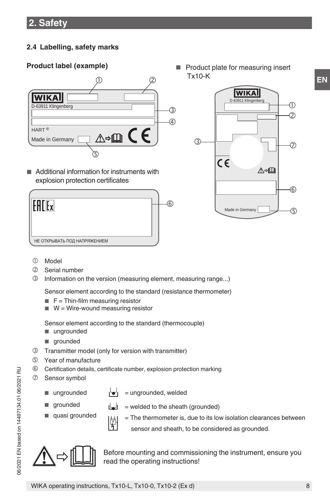# **2.4 Labelling, safety marks**

# **Product label (example)** ■ Product plate for measuring insert



■ Additional information for instruments with explosion protection certificates

| НЕ ОТКРЫВАТЬ ПОД НАПРЯЖЕНИЕМ |  |
|------------------------------|--|

**WIKA** D-63911 Klingenberg  $\overline{0}$   $\overline{0}$   $\overline{0}$   $\overline{0}$   $\overline{0}$ **TR10-A-IICZ**  $\overline{a}$   $\overline{a}$   $\overline{a}$   $\overline{a}$   $\overline{a}$   $\overline{a}$   $\overline{a}$   $\overline{a}$   $\overline{a}$   $\overline{a}$   $\overline{a}$   $\overline{a}$   $\overline{a}$   $\overline{a}$   $\overline{a}$   $\overline{a}$   $\overline{a}$   $\overline{a}$   $\overline{a}$   $\overline{a}$   $\overline{a}$   $\overline{a}$   $\overline{a}$   $\overline{a}$   $\overline{$ 1102AB12 **1 x Pt100 / B / 3 -50 ... +250 °C**  $(3)$ D = 6 mm 525 mm 7  $\Box$  $\epsilon$ ∧⇒Ⅲ  $\mathbb{E} \left[ \mathcal{A} \right]$ 6 Made in Germany <u>ය</u>

Tx10-K

- Model
- Serial number
- Information on the version (measuring element, measuring range...)

Sensor element according to the standard (resistance thermometer)

- $\blacksquare$  **F** = Thin-film measuring resistor
- $W = W$ ire-wound measuring resistor

Sensor element according to the standard (thermocouple) ■ ungrounded

- grounded
- Transmitter model (only for version with transmitter)
- Year of manufacture
- Certification details, certificate number, explosion protection marking
- Sensor symbol
	- ungrounded
- i'w'i ∴ = ungrounded, welded

 $\lfloor \frac{1}{2} \rfloor$  = welded to the sheath (grounded)

- grounded
- quasi grounded 南
- = The thermometer is, due to its low isolation clearances between sensor and sheath, to be considered as grounded.



Before mounting and commissioning the instrument, ensure you read the operating instructions!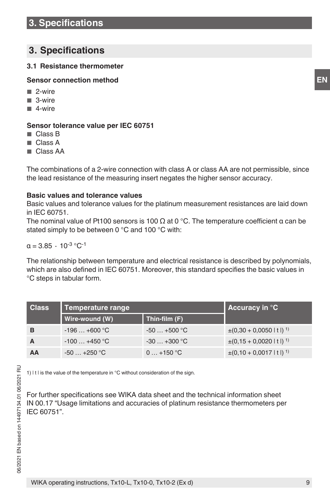# **3. Specifications**

# **3.1 Resistance thermometer**

# **Sensor connection method**

- 2-wire
- 3-wire
- 4-wire

# **Sensor tolerance value per IEC 60751**

- Class B
- Class A
- Class AA

The combinations of a 2-wire connection with class A or class AA are not permissible, since the lead resistance of the measuring insert negates the higher sensor accuracy.

# **Basic values and tolerance values**

Basic values and tolerance values for the platinum measurement resistances are laid down in IEC 60751.

The nominal value of Pt100 sensors is 100  $\Omega$  at 0 °C. The temperature coefficient  $\alpha$  can be stated simply to be between 0 °C and 100 °C with:

 $a = 3.85 \cdot 10^{-3}$  °C<sup>-1</sup>

The relationship between temperature and electrical resistance is described by polynomials, which are also defined in IEC 60751. Moreover, this standard specifies the basic values in °C steps in tabular form.

| <b>Class</b> | <b>Temperature range</b> | Accuracy in $\mathrm{C}$ |                                       |
|--------------|--------------------------|--------------------------|---------------------------------------|
|              | Wire-wound (W)           | Thin-film (F)            |                                       |
| в            | $-196+600$ °C            | $-50+500$ °C             | $\pm (0.30 + 0.0050 \mid t \mid)^{1}$ |
|              | $-100+450$ °C            | $-30+300$ °C             | $\pm (0.15 + 0.0020 \mid t \mid)^{1}$ |
| AA           | $-50+250$ °C             | $0+150$ °C               | $\pm (0.10 + 0.0017 \mid t \mid)^1$   |

1) It I is the value of the temperature in °C without consideration of the sign.

For further specifications see WIKA data sheet and the technical information sheet IN 00.17 "Usage limitations and accuracies of platinum resistance thermometers per IEC 60751".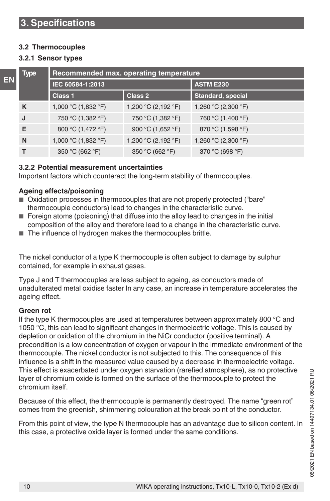## **3.2 Thermocouples**

#### **3.2.1 Sensor types**

|    | <b>Type</b> | Recommended max. operating temperature |                     |                          |  |  |  |
|----|-------------|----------------------------------------|---------------------|--------------------------|--|--|--|
| EN |             | IEC 60584-1:2013                       |                     | <b>ASTM E230</b>         |  |  |  |
|    |             | Class 1                                | Class 2             | <b>Standard, special</b> |  |  |  |
|    | K           | 1,000 °C (1,832 °F)                    | 1,200 °C (2,192 °F) | 1,260 °C (2,300 °F)      |  |  |  |
|    | J           | 750 °C (1,382 °F)                      | 750 °C (1,382 °F)   | 760 °C (1,400 °F)        |  |  |  |
|    | E           | 800 °C (1,472 °F)                      | 900 °C (1,652 °F)   | 870 °C (1,598 °F)        |  |  |  |
|    | N           | 1,000 °C (1,832 °F)                    | 1,200 °C (2,192 °F) | 1,260 °C (2,300 °F)      |  |  |  |
|    | т           | 350 °C (662 °F)                        | 350 °C (662 °F)     | 370 °C (698 °F)          |  |  |  |

## **3.2.2 Potential measurement uncertainties**

Important factors which counteract the long-term stability of thermocouples.

## **Ageing effects/poisoning**

- Oxidation processes in thermocouples that are not properly protected ("bare" thermocouple conductors) lead to changes in the characteristic curve.
- Foreign atoms (poisoning) that diffuse into the alloy lead to changes in the initial composition of the alloy and therefore lead to a change in the characteristic curve.
- The influence of hydrogen makes the thermocouples brittle.

The nickel conductor of a type K thermocouple is often subject to damage by sulphur contained, for example in exhaust gases.

Type J and T thermocouples are less subject to ageing, as conductors made of unadulterated metal oxidise faster In any case, an increase in temperature accelerates the ageing effect.

#### **Green rot**

If the type K thermocouples are used at temperatures between approximately 800 °C and 1050 °C, this can lead to significant changes in thermoelectric voltage. This is caused by depletion or oxidation of the chromium in the NiCr conductor (positive terminal). A precondition is a low concentration of oxygen or vapour in the immediate environment of the thermocouple. The nickel conductor is not subjected to this. The consequence of this influence is a shift in the measured value caused by a decrease in thermoelectric voltage. This effect is exacerbated under oxygen starvation (rarefied atmosphere), as no protective layer of chromium oxide is formed on the surface of the thermocouple to protect the chromium itself.

Because of this effect, the thermocouple is permanently destroyed. The name "green rot" comes from the greenish, shimmering colouration at the break point of the conductor.

From this point of view, the type N thermocouple has an advantage due to silicon content. In this case, a protective oxide layer is formed under the same conditions.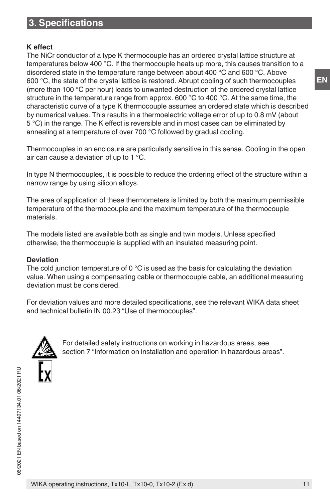# **3. Specifications**

# **K effect**

The NiCr conductor of a type K thermocouple has an ordered crystal lattice structure at temperatures below 400 °C. If the thermocouple heats up more, this causes transition to a disordered state in the temperature range between about 400 °C and 600 °C. Above 600 °C, the state of the crystal lattice is restored. Abrupt cooling of such thermocouples (more than 100 °C per hour) leads to unwanted destruction of the ordered crystal lattice structure in the temperature range from approx. 600 °C to 400 °C. At the same time, the characteristic curve of a type K thermocouple assumes an ordered state which is described by numerical values. This results in a thermoelectric voltage error of up to 0.8 mV (about 5 °C) in the range. The K effect is reversible and in most cases can be eliminated by annealing at a temperature of over 700 °C followed by gradual cooling.

Thermocouples in an enclosure are particularly sensitive in this sense. Cooling in the open air can cause a deviation of up to 1 °C.

In type N thermocouples, it is possible to reduce the ordering effect of the structure within a narrow range by using silicon alloys.

The area of application of these thermometers is limited by both the maximum permissible temperature of the thermocouple and the maximum temperature of the thermocouple materials.

The models listed are available both as single and twin models. Unless specified otherwise, the thermocouple is supplied with an insulated measuring point.

# **Deviation**

The cold junction temperature of  $0^{\circ}$ C is used as the basis for calculating the deviation value. When using a compensating cable or thermocouple cable, an additional measuring deviation must be considered.

For deviation values and more detailed specifications, see the relevant WIKA data sheet and technical bulletin IN 00.23 "Use of thermocouples".



For detailed safety instructions on working in hazardous areas, see section 7 "Information on installation and operation in hazardous areas".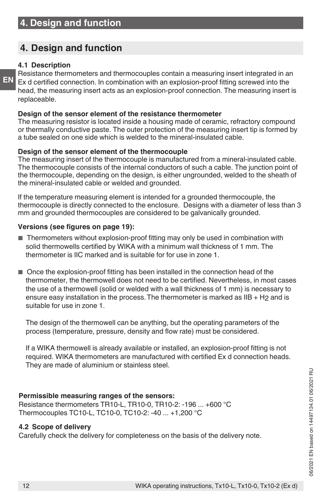# **4. Design and function**

# **4.1 Description**

**EN**

Resistance thermometers and thermocouples contain a measuring insert integrated in an Ex d certified connection. In combination with an explosion-proof fitting screwed into the head, the measuring insert acts as an explosion-proof connection. The measuring insert is replaceable.

# **Design of the sensor element of the resistance thermometer**

The measuring resistor is located inside a housing made of ceramic, refractory compound or thermally conductive paste. The outer protection of the measuring insert tip is formed by a tube sealed on one side which is welded to the mineral-insulated cable.

# **Design of the sensor element of the thermocouple**

The measuring insert of the thermocouple is manufactured from a mineral-insulated cable. The thermocouple consists of the internal conductors of such a cable. The junction point of the thermocouple, depending on the design, is either ungrounded, welded to the sheath of the mineral-insulated cable or welded and grounded.

If the temperature measuring element is intended for a grounded thermocouple, the thermocouple is directly connected to the enclosure. Designs with a diameter of less than 3 mm and grounded thermocouples are considered to be galvanically grounded.

# **Versions (see figures on page 19):**

- Thermometers without explosion-proof fitting may only be used in combination with solid thermowells certified by WIKA with a minimum wall thickness of 1 mm. The thermometer is IIC marked and is suitable for for use in zone 1.
- Once the explosion-proof fitting has been installed in the connection head of the thermometer, the thermowell does not need to be certified. Nevertheless, in most cases the use of a thermowell (solid or welded with a wall thickness of 1 mm) is necessary to ensure easy installation in the process. The thermometer is marked as IIB + H2 and is suitable for use in zone 1.

The design of the thermowell can be anything, but the operating parameters of the process (temperature, pressure, density and flow rate) must be considered.

If a WIKA thermowell is already available or installed, an explosion-proof fitting is not required. WIKA thermometers are manufactured with certified Ex d connection heads. They are made of aluminium or stainless steel.

# **Permissible measuring ranges of the sensors:**

Resistance thermometers TR10-L, TR10-0, TR10-2: -196 ... +600 °C Thermocouples TC10-L, TC10-0, TC10-2: -40 ... +1,200 °C

# **4.2 Scope of delivery**

Carefully check the delivery for completeness on the basis of the delivery note.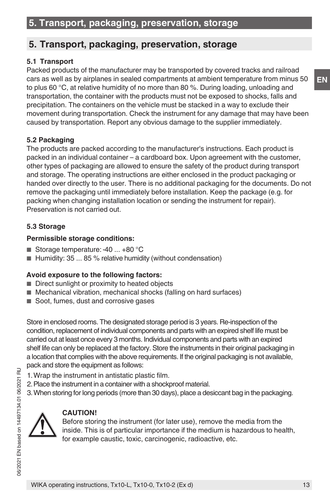# **5. Transport, packaging, preservation, storage**

# **5.1 Transport**

Packed products of the manufacturer may be transported by covered tracks and railroad cars as well as by airplanes in sealed compartments at ambient temperature from minus 50 to plus 60 °С, at relative humidity of no more than 80 %. During loading, unloading and transportation, the container with the products must not be exposed to shocks, falls and precipitation. The containers on the vehicle must be stacked in a way to exclude their movement during transportation. Check the instrument for any damage that may have been caused by transportation. Report any obvious damage to the supplier immediately.

# **5.2 Packaging**

The products are packed according to the manufacturer's instructions. Each product is packed in an individual container – a cardboard box. Upon agreement with the customer, other types of packaging are allowed to ensure the safety of the product during transport and storage. The operating instructions are either enclosed in the product packaging or handed over directly to the user. There is no additional packaging for the documents. Do not remove the packaging until immediately before installation. Keep the package (e.g. for packing when changing installation location or sending the instrument for repair). Preservation is not carried out.

# **5.3 Storage**

# **Permissible storage conditions:**

- Storage temperature: -40 ... +80 °C
- $\blacksquare$  Humidity: 35 ... 85 % relative humidity (without condensation)

# **Avoid exposure to the following factors:**

- Direct sunlight or proximity to heated objects
- Mechanical vibration, mechanical shocks (falling on hard surfaces)
- Soot, fumes, dust and corrosive gases

Store in enclosed rooms. The designated storage period is 3 years. Re-inspection of the condition, replacement of individual components and parts with an expired shelf life must be carried out at least once every 3 months. Individual components and parts with an expired shelf life can only be replaced at the factory. Store the instruments in their original packaging in a location that complies with the above requirements. If the original packaging is not available, pack and store the equipment as follows:

- 1.Wrap the instrument in antistatic plastic film.
- 2.Place the instrument in a container with a shockproof material.
- 3.When storing for long periods (more than 30 days), place a desiccant bag in the packaging.

# **CAUTION!**

Before storing the instrument (for later use), remove the media from the inside. This is of particular importance if the medium is hazardous to health, for example caustic, toxic, carcinogenic, radioactive, etc.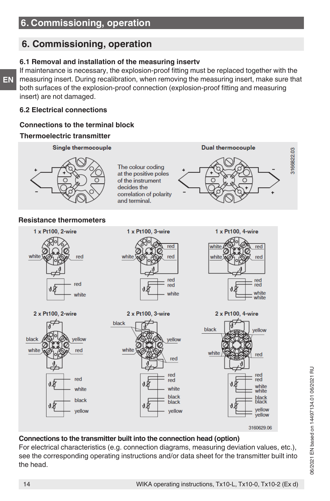# **6. Commissioning, operation**

## **6.1 Removal and installation of the measuring insertv**

If maintenance is necessary, the explosion-proof fitting must be replaced together with the measuring insert. During recalibration, when removing the measuring insert, make sure that both surfaces of the explosion-proof connection (explosion-proof fitting and measuring insert) are not damaged.

#### **6.2 Electrical connections**

# **Connections to the terminal block**

## **Thermoelectric transmitter**





# **Connections to the transmitter built into the connection head (option)**

For electrical characteristics (e.g. connection diagrams, measuring deviation values, etc.), see the corresponding operating instructions and/or data sheet for the transmitter built into the head.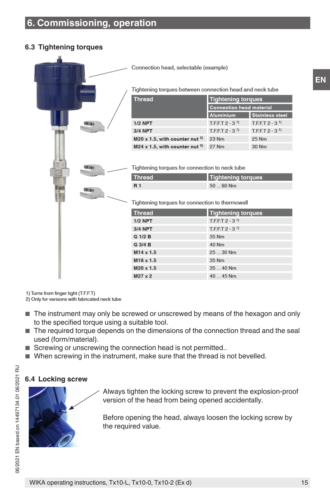# **6.3 Tightening torques**



1) Turns from finger tight (T.F.F.T)

2) Only for versions with fabricated neck tube

- The instrument may only be screwed or unscrewed by means of the hexagon and only to the specified torque using a suitable tool.
- The required torque depends on the dimensions of the connection thread and the seal used (form/material).
- Screwing or unscrewing the connection head is not permitted..
- When screwing in the instrument, make sure that the thread is not bevelled.

#### **6.4 Locking screw**



Always tighten the locking screw to prevent the explosion-proof version of the head from being opened accidentally.

Before opening the head, always loosen the locking screw by the required value.

06/2021 EN based on 14497134.01 06/2021 RU

**EN**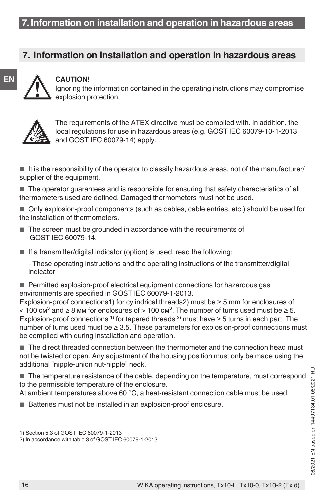# **7. Information on installation and operation in hazardous areas**



# **CAUTION!**

Ignoring the information contained in the operating instructions may compromise explosion protection.



The requirements of the ATEX directive must be complied with. In addition, the local regulations for use in hazardous areas (e.g. GOST IEC 60079-10-1-2013 and GOST IEC 60079-14) apply.

 $\blacksquare$  It is the responsibility of the operator to classify hazardous areas, not of the manufacturer/ supplier of the equipment.

■ The operator guarantees and is responsible for ensuring that safety characteristics of all thermometers used are defined. Damaged thermometers must not be used.

■ Only explosion-proof components (such as cables, cable entries, etc.) should be used for the installation of thermometers.

- The screen must be grounded in accordance with the requirements of GOST IEC 60079-14.
- $\blacksquare$  If a transmitter/digital indicator (option) is used, read the following:

- These operating instructions and the operating instructions of the transmitter/digital indicator

■ Permitted explosion-proof electrical equipment connections for hazardous gas environments are specified in GOST IEC 60079-1-2013.

Explosion-proof connections1) for cylindrical threads2) must be  $\geq$  5 mm for enclosures of < 100 cm<sup>3</sup> and ≥ 8 mm for enclosures of > 100 cm<sup>3</sup>. The number of turns used must be ≥ 5. Explosion-proof connections <sup>1)</sup> for tapered threads <sup>2)</sup> must have  $\geq$  5 turns in each part. The number of turns used must be  $\geq 3.5$ . These parameters for explosion-proof connections must be complied with during installation and operation.

■ The direct threaded connection between the thermometer and the connection head must not be twisted or open. Any adjustment of the housing position must only be made using the additional "nipple-union nut-nipple" neck.

■ The temperature resistance of the cable, depending on the temperature, must correspond to the permissible temperature of the enclosure.

At ambient temperatures above 60 °C, a heat-resistant connection cable must be used.

■ Batteries must not be installed in an explosion-proof enclosure.

1) Section 5.3 of GOST IEC 60079-1-2013

<sup>2)</sup> In accordance with table 3 of GOST IEC 60079-1-2013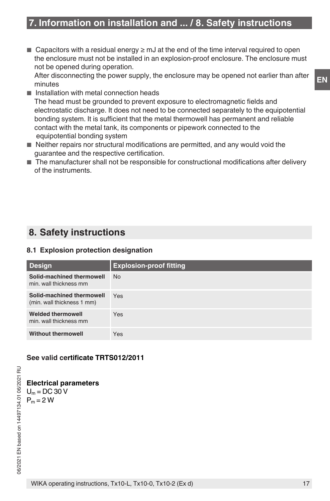■ Capacitors with a residual energy  $\geq$  mJ at the end of the time interval required to open the enclosure must not be installed in an explosion-proof enclosure. The enclosure must not be opened during operation.

After disconnecting the power supply, the enclosure may be opened not earlier than after minutes

- Installation with metal connection heads The head must be grounded to prevent exposure to electromagnetic fields and electrostatic discharge. It does not need to be connected separately to the equipotential bonding system. It is sufficient that the metal thermowell has permanent and reliable contact with the metal tank, its components or pipework connected to the equipotential bonding system
- Neither repairs nor structural modifications are permitted, and any would void the guarantee and the respective certification.
- The manufacturer shall not be responsible for constructional modifications after delivery of the instruments.

# **8. Safety instructions**

# **8.1 Explosion protection designation**

| <b>Design</b>                                           | <b>Explosion-proof fitting</b> |
|---------------------------------------------------------|--------------------------------|
| Solid-machined thermowell<br>min. wall thickness mm     | <b>No</b>                      |
| Solid-machined thermowell<br>(min. wall thickness 1 mm) | Yes                            |
| <b>Welded thermowell</b><br>min. wall thickness mm      | Yes                            |
| <b>Without thermowell</b>                               | Yes                            |

# **See valid certificate TRTS012/2011**

**Electrical parameters**  $U_m = DC$  30 V  $P_m = 2 W$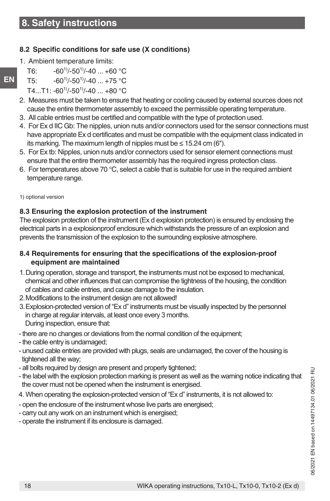# **8.2 Specific conditions for safe use (X conditions)**

- 1. Ambient temperature limits:
- T6:  $-60^{11}/-50^{11}/-40...+60^{\circ}$ C
- T5:  $-60^{11}/-50^{11}/-40...+75$  °C
- Т4...Т1: -60<sup>1)</sup>/-50<sup>1)</sup>/-40 ... +80 °С
- 2. Measures must be taken to ensure that heating or cooling caused by external sources does not cause the entire thermometer assembly to exceed the permissible operating temperature.
- 3. All cable entries must be certified and compatible with the type of protection used.
- 4. For Ex d IIC Gb: The nipples, union nuts and/or connectors used for the sensor connections must have appropriate Ex d certificates and must be compatible with the equipment class indicated in its marking. The maximum length of nipples must be ≤ 15.24 cm (6").
- 5. For Ex tb: Nipples, union nuts and/or connectors used for sensor element connections must ensure that the entire thermometer assembly has the required ingress protection class.
- 6. For temperatures above 70  $^{\circ}$ C, select a cable that is suitable for use in the required ambient temperature range.
- 1) optional version

# **8.3 Ensuring the explosion protection of the instrument**

The explosion protection of the instrument (Ex d explosion protection) is ensured by enclosing the electrical parts in a explosionproof enclosure which withstands the pressure of an explosion and prevents the transmission of the explosion to the surrounding explosive atmosphere.

# **8.4 Requirements for ensuring that the specifications of the explosion-proof equipment are maintained**

- 1.During operation, storage and transport, the instruments must not be exposed to mechanical, chemical and other influences that can compromise the tightness of the housing, the condition of cables and cable entries, and cause damage to the insulation.
- 2.Modifications to the instrument design are not allowed!
- 3.Explosion-protected version of "Ex d" instruments must be visually inspected by the personnel in charge at regular intervals, at least once every 3 months. During inspection, ensure that:
- there are no changes or deviations from the normal condition of the equipment;
- the cable entry is undamaged;
- unused cable entries are provided with plugs, seals are undamaged, the cover of the housing is tightened all the way;
- all bolts required by design are present and properly tightened;
- the label with the explosion protection marking is present as well as the warning notice indicating that the cover must not be opened when the instrument is energised.
- 4. When operating the explosion-protected version of "Ex d" instruments, it is not allowed to:
- open the enclosure of the instrument whose live parts are energised;
- carry out any work on an instrument which is energised;
- operate the instrument if its enclosure is damaged.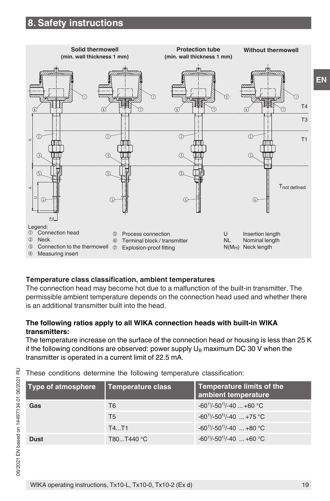

# **Temperature class classification, ambient temperatures**

The connection head may become hot due to a malfunction of the built-in transmitter. The permissible ambient temperature depends on the connection head used and whether there is an additional transmitter built into the head.

# **The following ratios apply to all WIKA connection heads with built-in WIKA transmitters:**

The temperature increase on the surface of the connection head or housing is less than 25 K if the following conditions are observed: power supply  $U_B$  maximum DC 30 V when the transmitter is operated in a current limit of 22.5 mA.

|  |  |  |  |  |  | These conditions determine the following temperature classification: |
|--|--|--|--|--|--|----------------------------------------------------------------------|
|--|--|--|--|--|--|----------------------------------------------------------------------|

| <b>Type of atmosphere</b> | Temperature class | Temperature limits of the<br>ambient temperature |
|---------------------------|-------------------|--------------------------------------------------|
| Gas                       | T6                | $-60^{1}/-50^{1}/-40+60$ °C                      |
|                           | T <sub>5</sub>    | $-60^{11}/-50^{11}/-40$ +75 °C                   |
|                           | T4T1              | $-60^{11}/-50^{11}/-40$ +80 °C.                  |
| <b>Dust</b>               | T80T440 °C        | $-60^{11}/-50^{11}/-40$ $+60^{\circ}$ C          |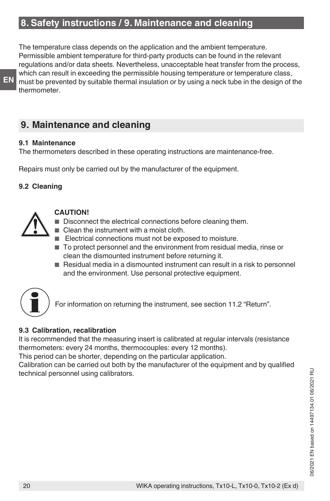# **8. Safety instructions / 9. Maintenance and cleaning**

The temperature class depends on the application and the ambient temperature. Permissible ambient temperature for third-party products can be found in the relevant regulations and/or data sheets. Nevertheless, unacceptable heat transfer from the process, which can result in exceeding the permissible housing temperature or temperature class, must be prevented by suitable thermal insulation or by using a neck tube in the design of the thermometer.

# **9. Maintenance and cleaning**

#### **9.1 Maintenance**

**EN**

The thermometers described in these operating instructions are maintenance-free.

Repairs must only be carried out by the manufacturer of the equipment.

# **9.2 Cleaning**



# **CAUTION!**

- Disconnect the electrical connections before cleaning them.
- Clean the instrument with a moist cloth.
	- Electrical connections must not be exposed to moisture.
	- To protect personnel and the environment from residual media, rinse or clean the dismounted instrument before returning it.
	- Residual media in a dismounted instrument can result in a risk to personnel and the environment. Use personal protective equipment.



For information on returning the instrument, see section 11.2 "Return".

# **9.3 Calibration, recalibration**

It is recommended that the measuring insert is calibrated at regular intervals (resistance thermometers: every 24 months, thermocouples: every 12 months).

This period can be shorter, depending on the particular application.

Calibration can be carried out both by the manufacturer of the equipment and by qualified technical personnel using calibrators.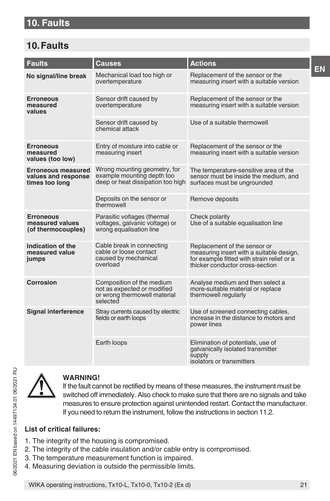# **10. Faults**

# **10. Faults**

| <b>Faults</b>                                                      | Causes                                                                                               | <b>Actions</b>                                                                                                                                            |
|--------------------------------------------------------------------|------------------------------------------------------------------------------------------------------|-----------------------------------------------------------------------------------------------------------------------------------------------------------|
| No signal/line break                                               | Mechanical load too high or<br>overtemperature                                                       | Replacement of the sensor or the<br>measuring insert with a suitable version                                                                              |
| <b>Erroneous</b><br>measured<br>values                             | Sensor drift caused by<br>overtemperature                                                            | Replacement of the sensor or the<br>measuring insert with a suitable version                                                                              |
|                                                                    | Sensor drift caused by<br>chemical attack                                                            | Use of a suitable thermowell                                                                                                                              |
| <b>Erroneous</b><br>measured<br>values (too low)                   | Entry of moisture into cable or<br>measuring insert                                                  | Replacement of the sensor or the<br>measuring insert with a suitable version                                                                              |
| <b>Erroneous measured</b><br>values and response<br>times too long | Wrong mounting geometry, for<br>example mounting depth too<br>deep or heat dissipation too high      | The temperature-sensitive area of the<br>sensor must be inside the medium, and<br>surfaces must be ungrounded                                             |
|                                                                    | Deposits on the sensor or<br>thermowell                                                              | Remove deposits                                                                                                                                           |
| <b>Erroneous</b><br>measured values<br>(of thermocouples)          | Parasitic voltages (thermal<br>voltages, galvanic voltage) or<br>wrong equalisation line             | Check polarity<br>Use of a suitable equalisation line                                                                                                     |
| Indication of the<br>measured value<br>jumps                       | Cable break in connecting<br>cable or loose contact<br>caused by mechanical<br>overload              | Replacement of the sensor or<br>measuring insert with a suitable design,<br>for example fitted with strain relief or a<br>thicker conductor cross-section |
| <b>Corrosion</b>                                                   | Composition of the medium<br>not as expected or modified<br>or wrong thermowell material<br>selected | Analyse medium and then select a<br>more-suitable material or replace<br>thermowell regularly                                                             |
| <b>Signal interference</b>                                         | Stray currents caused by electric<br>fields or earth loops                                           | Use of screened connecting cables,<br>increase in the distance to motors and<br>power lines                                                               |
|                                                                    | Earth loops                                                                                          | Elimination of potentials, use of<br>galvanically isolated transmitter<br>supply<br>isolators or transmitters                                             |



# **WARNING!**

If the fault cannot be rectified by means of these measures, the instrument must be switched off immediately. Also check to make sure that there are no signals and take measures to ensure protection against unintended restart. Contact the manufacturer. If you need to return the instrument, follow the instructions in section 11.2.

# **List of critical failures:**

- 1. The integrity of the housing is compromised.
- 2. The integrity of the cable insulation and/or cable entry is compromised.
- 3. The temperature measurement function is impaired.
- 4. Measuring deviation is outside the permissible limits.

**EN**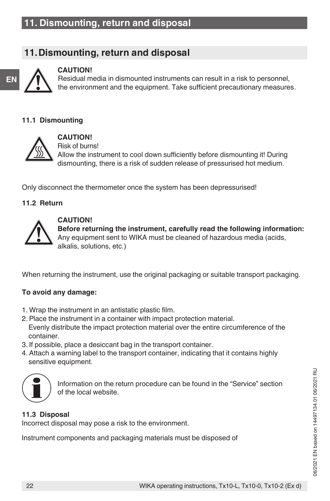# **11. Dismounting, return and disposal**



## **CAUTION!**

Residual media in dismounted instruments can result in a risk to personnel, the environment and the equipment. Take sufficient precautionary measures.

## **11.1 Dismounting**



**CAUTION!** Risk of burns! Allow the instrument to cool down sufficiently before dismounting it! During dismounting, there is a risk of sudden release of pressurised hot medium.

Only disconnect the thermometer once the system has been depressurised!

## **11.2 Return**



## **CAUTION!**

**Before returning the instrument, carefully read the following information:** Any equipment sent to WIKA must be cleaned of hazardous media (acids, alkalis, solutions, etc.)

When returning the instrument, use the original packaging or suitable transport packaging.

# **To avoid any damage:**

- 1. Wrap the instrument in an antistatic plastic film.
- 2. Place the instrument in a container with impact protection material. Evenly distribute the impact protection material over the entire circumference of the container.
- 3. If possible, place a desiccant bag in the transport container.
- 4. Attach a warning label to the transport container, indicating that it contains highly sensitive equipment.



Information on the return procedure can be found in the "Service" section of the local website.

# **11.3 Disposal**

Incorrect disposal may pose a risk to the environment.

Instrument components and packaging materials must be disposed of